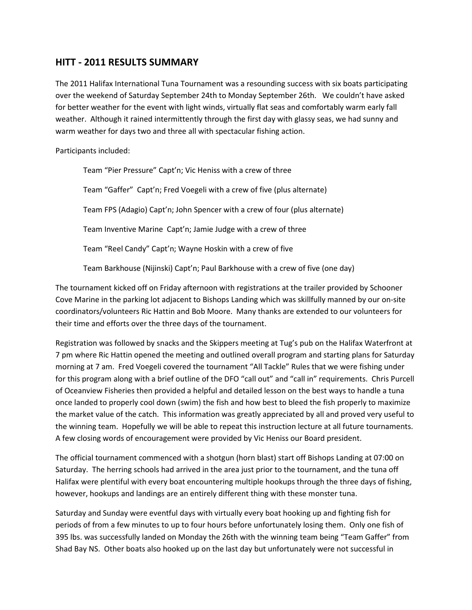## **HITT - 2011 RESULTS SUMMARY**

The 2011 Halifax International Tuna Tournament was a resounding success with six boats participating over the weekend of Saturday September 24th to Monday September 26th. We couldn't have asked for better weather for the event with light winds, virtually flat seas and comfortably warm early fall weather. Although it rained intermittently through the first day with glassy seas, we had sunny and warm weather for days two and three all with spectacular fishing action.

Participants included:

Team "Pier Pressure" Capt'n; Vic Heniss with a crew of three Team "Gaffer" Capt'n; Fred Voegeli with a crew of five (plus alternate) Team FPS (Adagio) Capt'n; John Spencer with a crew of four (plus alternate) Team Inventive Marine Capt'n; Jamie Judge with a crew of three Team "Reel Candy" Capt'n; Wayne Hoskin with a crew of five

Team Barkhouse (Nijinski) Capt'n; Paul Barkhouse with a crew of five (one day)

The tournament kicked off on Friday afternoon with registrations at the trailer provided by Schooner Cove Marine in the parking lot adjacent to Bishops Landing which was skillfully manned by our on-site coordinators/volunteers Ric Hattin and Bob Moore. Many thanks are extended to our volunteers for their time and efforts over the three days of the tournament.

Registration was followed by snacks and the Skippers meeting at Tug's pub on the Halifax Waterfront at 7 pm where Ric Hattin opened the meeting and outlined overall program and starting plans for Saturday morning at 7 am. Fred Voegeli covered the tournament "All Tackle" Rules that we were fishing under for this program along with a brief outline of the DFO "call out" and "call in" requirements. Chris Purcell of Oceanview Fisheries then provided a helpful and detailed lesson on the best ways to handle a tuna once landed to properly cool down (swim) the fish and how best to bleed the fish properly to maximize the market value of the catch. This information was greatly appreciated by all and proved very useful to the winning team. Hopefully we will be able to repeat this instruction lecture at all future tournaments. A few closing words of encouragement were provided by Vic Heniss our Board president.

The official tournament commenced with a shotgun (horn blast) start off Bishops Landing at 07:00 on Saturday. The herring schools had arrived in the area just prior to the tournament, and the tuna off Halifax were plentiful with every boat encountering multiple hookups through the three days of fishing, however, hookups and landings are an entirely different thing with these monster tuna.

Saturday and Sunday were eventful days with virtually every boat hooking up and fighting fish for periods of from a few minutes to up to four hours before unfortunately losing them. Only one fish of 395 lbs. was successfully landed on Monday the 26th with the winning team being "Team Gaffer" from Shad Bay NS. Other boats also hooked up on the last day but unfortunately were not successful in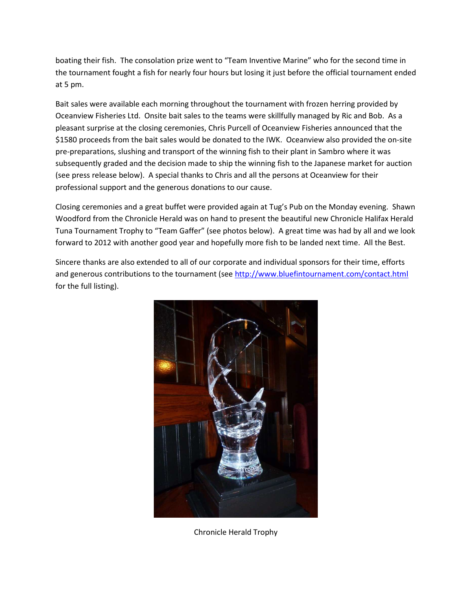boating their fish. The consolation prize went to "Team Inventive Marine" who for the second time in the tournament fought a fish for nearly four hours but losing it just before the official tournament ended at 5 pm.

Bait sales were available each morning throughout the tournament with frozen herring provided by Oceanview Fisheries Ltd. Onsite bait sales to the teams were skillfully managed by Ric and Bob. As a pleasant surprise at the closing ceremonies, Chris Purcell of Oceanview Fisheries announced that the \$1580 proceeds from the bait sales would be donated to the IWK. Oceanview also provided the on-site pre-preparations, slushing and transport of the winning fish to their plant in Sambro where it was subsequently graded and the decision made to ship the winning fish to the Japanese market for auction (see press release below). A special thanks to Chris and all the persons at Oceanview for their professional support and the generous donations to our cause.

Closing ceremonies and a great buffet were provided again at Tug's Pub on the Monday evening. Shawn Woodford from the Chronicle Herald was on hand to present the beautiful new Chronicle Halifax Herald Tuna Tournament Trophy to "Team Gaffer" (see photos below). A great time was had by all and we look forward to 2012 with another good year and hopefully more fish to be landed next time. All the Best.

Sincere thanks are also extended to all of our corporate and individual sponsors for their time, efforts and generous contributions to the tournament (see http://www.bluefintournament.com/contact.html for the full listing).



Chronicle Herald Trophy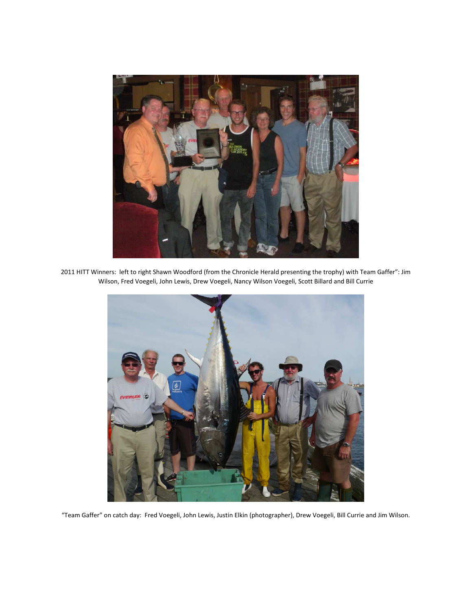

2011 HITT Winners: left to right Shawn Woodford (from the Chronicle Herald presenting the trophy) with Team Gaffer": Jim Wilson, Fred Voegeli, John Lewis, Drew Voegeli, Nancy Wilson Voegeli, Scott Billard and Bill Currie



"Team Gaffer" on catch day: Fred Voegeli, John Lewis, Justin Elkin (photographer), Drew Voegeli, Bill Currie and Jim Wilson.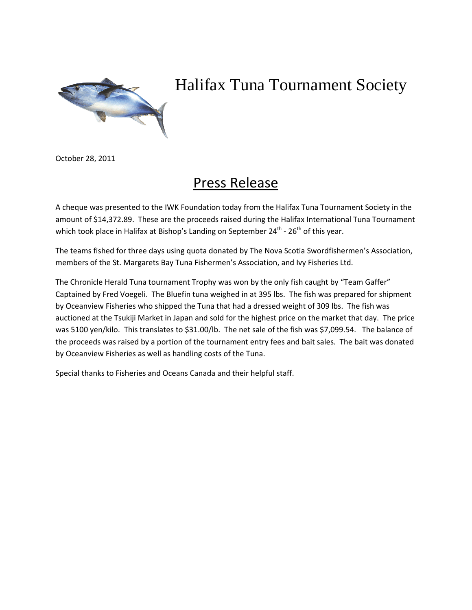

## Halifax Tuna Tournament Society

October 28, 2011

## Press Release

A cheque was presented to the IWK Foundation today from the Halifax Tuna Tournament Society in the amount of \$14,372.89. These are the proceeds raised during the Halifax International Tuna Tournament which took place in Halifax at Bishop's Landing on September  $24^{th}$  -  $26^{th}$  of this year.

The teams fished for three days using quota donated by The Nova Scotia Swordfishermen's Association, members of the St. Margarets Bay Tuna Fishermen's Association, and Ivy Fisheries Ltd.

The Chronicle Herald Tuna tournament Trophy was won by the only fish caught by "Team Gaffer" Captained by Fred Voegeli. The Bluefin tuna weighed in at 395 lbs. The fish was prepared for shipment by Oceanview Fisheries who shipped the Tuna that had a dressed weight of 309 lbs. The fish was auctioned at the Tsukiji Market in Japan and sold for the highest price on the market that day. The price was 5100 yen/kilo. This translates to \$31.00/lb. The net sale of the fish was \$7,099.54. The balance of the proceeds was raised by a portion of the tournament entry fees and bait sales. The bait was donated by Oceanview Fisheries as well as handling costs of the Tuna.

Special thanks to Fisheries and Oceans Canada and their helpful staff.